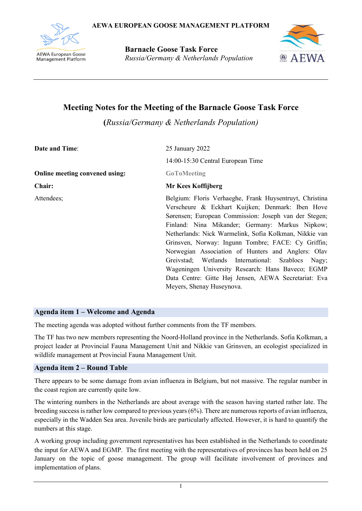

**Barnacle Goose Task Force** *Russia/Germany & Netherlands Population*



# **Meeting Notes for the Meeting of the Barnacle Goose Task Force**

**(***Russia/Germany & Netherlands Population)*

| <b>Date and Time:</b>                 | 25 January 2022                                                                                                                                                                                                                                                                                                                                                                                                                                                                                                                                                                              |  |  |  |  |  |
|---------------------------------------|----------------------------------------------------------------------------------------------------------------------------------------------------------------------------------------------------------------------------------------------------------------------------------------------------------------------------------------------------------------------------------------------------------------------------------------------------------------------------------------------------------------------------------------------------------------------------------------------|--|--|--|--|--|
|                                       | 14:00-15:30 Central European Time                                                                                                                                                                                                                                                                                                                                                                                                                                                                                                                                                            |  |  |  |  |  |
| <b>Online meeting convened using:</b> | <b>GoToMeeting</b>                                                                                                                                                                                                                                                                                                                                                                                                                                                                                                                                                                           |  |  |  |  |  |
| Chair:                                | Mr Kees Koffijberg                                                                                                                                                                                                                                                                                                                                                                                                                                                                                                                                                                           |  |  |  |  |  |
| Attendees;                            | Belgium: Floris Verhaeghe, Frank Huysentruyt, Christina<br>Verscheure & Eckhart Kuijken; Denmark: Iben Hove<br>Sørensen; European Commission: Joseph van der Stegen;<br>Finland: Nina Mikander; Germany: Markus Nipkow;<br>Netherlands: Nick Warmelink, Sofia Kolkman, Nikkie van<br>Grinsven, Norway: Ingunn Tombre; FACE: Cy Griffin;<br>Norwegian Association of Hunters and Anglers: Olav<br>Greivstad; Wetlands International: Szablocs Nagy;<br>Wageningen University Research: Hans Baveco; EGMP<br>Data Centre: Gitte Høj Jensen, AEWA Secretariat: Eva<br>Meyers, Shenay Huseynova. |  |  |  |  |  |

## **Agenda item 1 – Welcome and Agenda**

The meeting agenda was adopted without further comments from the TF members.

The TF has two new members representing the Noord-Holland province in the Netherlands. Sofia Kolkman, a project leader at Provincial Fauna Management Unit and Nikkie van Grinsven, an ecologist specialized in wildlife management at Provincial Fauna Management Unit.

## **Agenda item 2 – Round Table**

There appears to be some damage from avian influenza in Belgium, but not massive. The regular number in the coast region are currently quite low.

The wintering numbers in the Netherlands are about average with the season having started rather late. The breeding success is rather low compared to previous years (6%). There are numerous reports of avian influenza, especially in the Wadden Sea area. Juvenile birds are particularly affected. However, it is hard to quantify the numbers at this stage.

A working group including government representatives has been established in the Netherlands to coordinate the input for AEWA and EGMP. The first meeting with the representatives of provinces has been held on 25 January on the topic of goose management. The group will facilitate involvement of provinces and implementation of plans.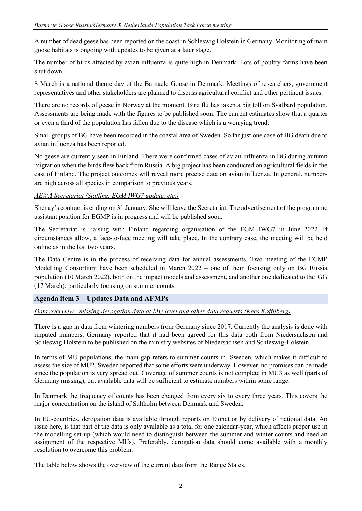A number of dead geese has been reported on the coast in Schleswig Holstein in Germany. Monitoring of main goose habitats is ongoing with updates to be given at a later stage.

The number of birds affected by avian influenza is quite high in Denmark. Lots of poultry farms have been shut down.

8 March is a national theme day of the Barnacle Goose in Denmark. Meetings of researchers, government representatives and other stakeholders are planned to discuss agricultural conflict and other pertinent issues.

There are no records of geese in Norway at the moment. Bird flu has taken a big toll on Svalbard population. Assessments are being made with the figures to be published soon. The current estimates show that a quarter or even a third of the population has fallen due to the disease which is a worrying trend.

Small groups of BG have been recorded in the coastal area of Sweden. So far just one case of BG death due to avian influenza has been reported.

No geese are currently seen in Finland. There were confirmed cases of avian influenza in BG during autumn migration when the birds flew back from Russia. A big project has been conducted on agricultural fields in the east of Finland. The project outcomes will reveal more precise data on avian influenza. In general, numbers are high across all species in comparison to previous years.

*AEWA Secretariat (Staffing, EGM IWG7 update, etc.)*

Shenay's contract is ending on 31 January. She will leave the Secretariat. The advertisement of the programme assistant position for EGMP is in progress and will be published soon.

The Secretariat is liaising with Finland regarding organisation of the EGM IWG7 in June 2022. If circumstances allow, a face-to-face meeting will take place. In the contrary case, the meeting will be held online as in the last two years.

The Data Centre is in the process of receiving data for annual assessments. Two meeting of the EGMP Modelling Consortium have been scheduled in March 2022 – one of them focusing only on BG Russia population (10 March 2022), both on the impact models and assessment, and another one dedicated to the GG (17 March), particularly focusing on summer counts.

## **Agenda item 3 – Updates Data and AFMPs**

*Data overview - missing derogation data at MU level and other data requests (Kees Koffijberg)*

There is a gap in data from wintering numbers from Germany since 2017. Currently the analysis is done with imputed numbers. Germany reported that it had been agreed for this data both from Niedersachsen and Schleswig Holstein to be published on the ministry websites of Niedersachsen and Schleswig-Holstein.

In terms of MU populations, the main gap refers to summer counts in Sweden, which makes it difficult to assess the size of MU2. Sweden reported that some efforts were underway. However, no promises can be made since the population is very spread out. Coverage of summer counts is not complete in MU3 as well (parts of Germany missing), but available data will be sufficient to estimate numbers within some range.

In Denmark the frequency of counts has been changed from every six to every three years. This covers the major concentration on the island of Saltholm between Denmark and Sweden.

In EU-countries, derogation data is available through reports on Eionet or by delivery of national data. An issue here, is that part of the data is only available as a total for one calendar-year, which affects proper use in the modelling set-up (which would need to distinguish between the summer and winter counts and need an assignment of the respective MUs). Preferably, derogation data should come available with a monthly resolution to overcome this problem.

The table below shows the overview of the current data from the Range States.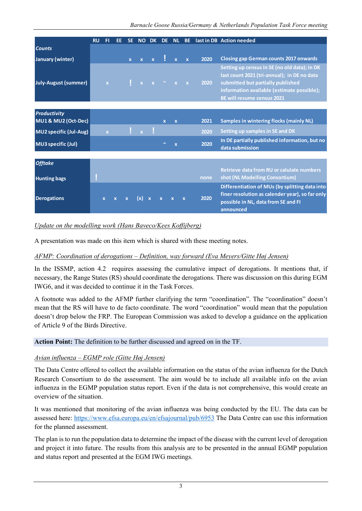|                                            | <b>RU</b> | FI          | EE | <b>SE</b>    | <b>NO</b>    | <b>DK</b>    | DE.                     | NL          | <b>BE</b>    |      | last in DB Action needed                                                                                                                                                                                            |
|--------------------------------------------|-----------|-------------|----|--------------|--------------|--------------|-------------------------|-------------|--------------|------|---------------------------------------------------------------------------------------------------------------------------------------------------------------------------------------------------------------------|
| <b>Counts</b>                              |           |             |    |              |              |              |                         |             |              |      |                                                                                                                                                                                                                     |
| January (winter)                           |           |             |    | $\mathbf{x}$ | $\mathbf{x}$ | $\mathbf{x}$ |                         |             |              | 2020 | <b>Closing gap German counts 2017 onwards</b>                                                                                                                                                                       |
| <b>July-August (summer)</b>                |           | $\mathbf x$ |    |              | $\mathbf{x}$ |              |                         |             | $\mathbf{x}$ | 2020 | Setting up census in SE (no old data); in DK<br>last count 2021 (tri-annual); in DE no data<br>submitted but partially published<br>information available (estimate possible);<br><b>BE will resume census 2021</b> |
|                                            |           |             |    |              |              |              |                         |             |              |      |                                                                                                                                                                                                                     |
| <b>Productivity</b><br>MU1 & MU2 (Oct-Dec) |           |             |    |              |              |              | $\overline{\mathbf{x}}$ | $\mathbf x$ |              | 2021 | <b>Samples in wintering flocks (mainly NL)</b>                                                                                                                                                                      |
| <b>MU2</b> specific (Jul-Aug)              |           |             |    |              |              |              |                         |             |              | 2020 | Setting up samples in SE and DK                                                                                                                                                                                     |
| <b>MU3</b> specific (Jul)                  |           |             |    |              |              |              |                         | X           |              | 2020 | In DE partially published information, but no<br>data submission                                                                                                                                                    |
|                                            |           |             |    |              |              |              |                         |             |              |      |                                                                                                                                                                                                                     |
| <b>Offtake</b>                             |           |             |    |              |              |              |                         |             |              |      |                                                                                                                                                                                                                     |
| <b>Hunting bags</b>                        |           |             |    |              |              |              |                         |             |              | none | Retrieve data from RU or calulate numbers<br>shot (NL Modelling Consortium)                                                                                                                                         |
| <b>Derogations</b>                         |           |             |    |              |              |              |                         |             |              | 2020 | Differentiation of MUs (by splitting data into<br>finer resolution as calender year), so far only<br>possible in NL, data from SE and FI<br>announced                                                               |

## *Update on the modelling work (Hans Baveco/Kees Koffijberg)*

A presentation was made on this item which is shared with these meeting notes.

# *AFMP: Coordination of derogations – Definition, way forward (Eva Meyers/Gitte Høj Jensen)*

In the ISSMP, action 4.2 requires assessing the cumulative impact of derogations. It mentions that, if necessary, the Range States (RS) should coordinate the derogations. There was discussion on this during EGM IWG6, and it was decided to continue it in the Task Forces.

A footnote was added to the AFMP further clarifying the term "coordination". The "coordination" doesn't mean that the RS will have to de facto coordinate. The word "coordination" would mean that the population doesn't drop below the FRP. The European Commission was asked to develop a guidance on the application of Article 9 of the Birds Directive.

### **Action Point:** The definition to be further discussed and agreed on in the TF.

## *Avian influenza – EGMP role (Gitte Høj Jensen)*

The Data Centre offered to collect the available information on the status of the avian influenza for the Dutch Research Consortium to do the assessment. The aim would be to include all available info on the avian influenza in the EGMP population status report. Even if the data is not comprehensive, this would create an overview of the situation.

It was mentioned that monitoring of the avian influenza was being conducted by the EU. The data can be assessed here:<https://www.efsa.europa.eu/en/efsajournal/pub/6953> The Data Centre can use this information for the planned assessment.

The plan is to run the population data to determine the impact of the disease with the current level of derogation and project it into future. The results from this analysis are to be presented in the annual EGMP population and status report and presented at the EGM IWG meetings.